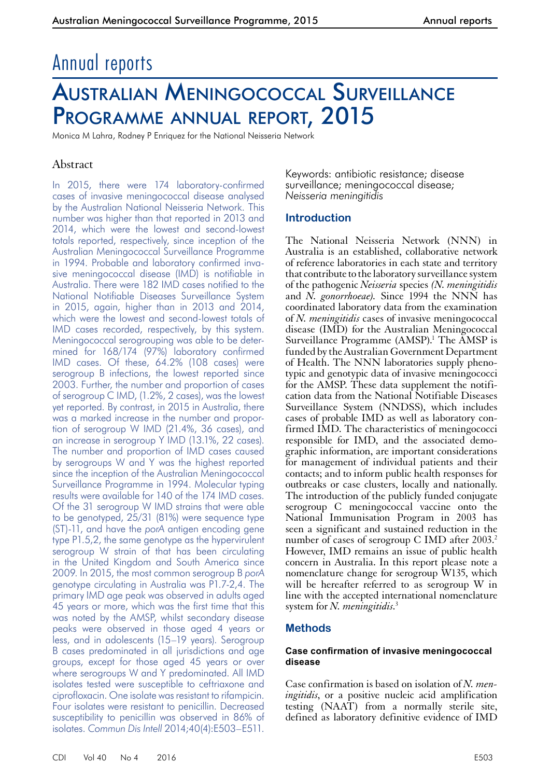# Annual reports

# Australian Meningococcal Surveillance Programme annual report, 2015

Monica M Lahra, Rodney P Enriquez for the National Neisseria Network

# Abstract

In 2015, there were 174 laboratory-confirmed cases of invasive meningococcal disease analysed by the Australian National Neisseria Network. This number was higher than that reported in 2013 and 2014, which were the lowest and second-lowest totals reported, respectively, since inception of the Australian Meningococcal Surveillance Programme in 1994. Probable and laboratory confirmed invasive meningococcal disease (IMD) is notifiable in Australia. There were 182 IMD cases notified to the National Notifiable Diseases Surveillance System in 2015, again, higher than in 2013 and 2014, which were the lowest and second-lowest totals of IMD cases recorded, respectively, by this system. Meningococcal serogrouping was able to be determined for 168/174 (97%) laboratory confirmed IMD cases. Of these, 64.2% (108 cases) were serogroup B infections, the lowest reported since 2003. Further, the number and proportion of cases of serogroup C IMD, (1.2%, 2 cases), was the lowest yet reported. By contrast, in 2015 in Australia, there was a marked increase in the number and proportion of serogroup W IMD (21.4%, 36 cases), and an increase in serogroup Y IMD (13.1%, 22 cases). The number and proportion of IMD cases caused by serogroups W and Y was the highest reported since the inception of the Australian Meningococcal Surveillance Programme in 1994. Molecular typing results were available for 140 of the 174 IMD cases. Of the 31 serogroup W IMD strains that were able to be genotyped, 25/31 (81%) were sequence type (ST)-11, and have the *porA* antigen encoding gene type P1.5,2, the same genotype as the hypervirulent serogroup W strain of that has been circulating in the United Kingdom and South America since 2009. In 2015, the most common serogroup B *porA* genotype circulating in Australia was P1.7-2,4. The primary IMD age peak was observed in adults aged 45 years or more, which was the first time that this was noted by the AMSP, whilst secondary disease peaks were observed in those aged 4 years or less, and in adolescents (15–19 years). Serogroup B cases predominated in all jurisdictions and age groups, except for those aged 45 years or over where serogroups W and Y predominated. All IMD isolates tested were susceptible to ceftriaxone and ciprofloxacin. One isolate was resistant to rifampicin. Four isolates were resistant to penicillin. Decreased susceptibility to penicillin was observed in 86% of isolates. *Commun Dis Intell* 2014;40(4):E503–E511.

Keywords: antibiotic resistance; disease surveillance; meningococcal disease; *Neisseria meningitidis*

# **Introduction**

The National Neisseria Network (NNN) in Australia is an established, collaborative network of reference laboratories in each state and territory that contribute to the laboratory surveillance system of the pathogenic *Neisseria* species *(N. meningitidis* and *N. gonorrhoeae).* Since 1994 the NNN has coordinated laboratory data from the examination of *N. meningitidis* cases of invasive meningococcal disease (IMD) for the Australian Meningococcal Surveillance Programme (AMSP).<sup>1</sup> The AMSP is funded by the Australian Government Department of Health. The NNN laboratories supply phenotypic and genotypic data of invasive meningococci for the AMSP. These data supplement the notification data from the National Notifiable Diseases Surveillance System (NNDSS), which includes cases of probable IMD as well as laboratory confirmed IMD. The characteristics of meningococci responsible for IMD, and the associated demographic information, are important considerations for management of individual patients and their contacts; and to inform public health responses for outbreaks or case clusters, locally and nationally. The introduction of the publicly funded conjugate serogroup C meningococcal vaccine onto the National Immunisation Program in 2003 has seen a significant and sustained reduction in the number of cases of serogroup C IMD after  $2003<sup>2</sup>$ However, IMD remains an issue of public health concern in Australia. In this report please note a nomenclature change for serogroup W135, which will be hereafter referred to as serogroup W in line with the accepted international nomenclature system for *N. meningitidis*. 3

# **Methods**

#### **Case confirmation of invasive meningococcal disease**

Case confirmation is based on isolation of *N. meningitidis*, or a positive nucleic acid amplification testing (NAAT) from a normally sterile site, defined as laboratory definitive evidence of IMD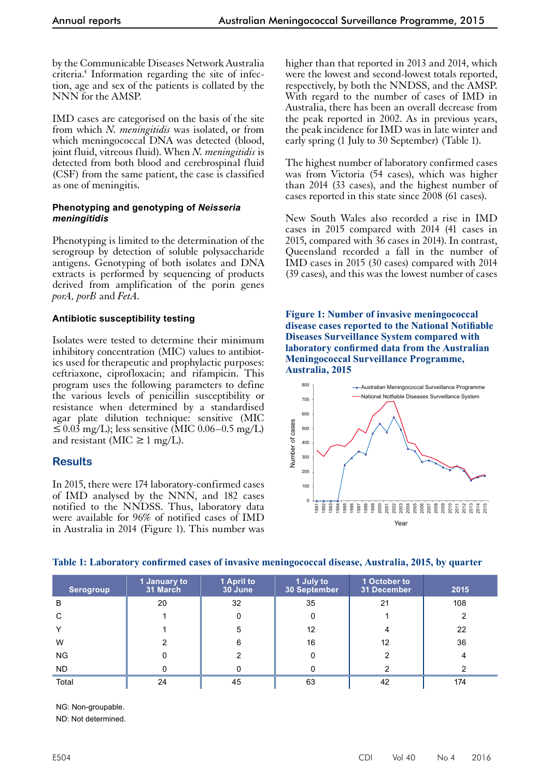by the Communicable Diseases Network Australia criteria.4 Information regarding the site of infection, age and sex of the patients is collated by the NNN for the AMSP.

IMD cases are categorised on the basis of the site from which *N. meningitidis* was isolated, or from which meningococcal DNA was detected (blood, joint fluid, vitreous fluid). When *N. meningitidis* is detected from both blood and cerebrospinal fluid (CSF) from the same patient, the case is classified as one of meningitis.

#### **Phenotyping and genotyping of** *Neisseria meningitidis*

Phenotyping is limited to the determination of the serogroup by detection of soluble polysaccharide antigens. Genotyping of both isolates and DNA extracts is performed by sequencing of products derived from amplification of the porin genes *porA, porB* and *FetA.*

## **Antibiotic susceptibility testing**

Isolates were tested to determine their minimum inhibitory concentration (MIC) values to antibiotics used for therapeutic and prophylactic purposes: ceftriaxone, ciprofloxacin; and rifampicin. This program uses the following parameters to define the various levels of penicillin susceptibility or resistance when determined by a standardised agar plate dilution technique: sensitive (MIC  $\leq 0.03$  mg/L); less sensitive (MIC 0.06–0.5 mg/L) and resistant (MIC  $\geq 1$  mg/L).

# **Results**

In 2015, there were 174 laboratory-confirmed cases of IMD analysed by the NNN, and 182 cases notified to the NNDSS. Thus, laboratory data were available for 96% of notified cases of IMD in Australia in 2014 (Figure 1). This number was

higher than that reported in 2013 and 2014, which were the lowest and second-lowest totals reported, respectively, by both the NNDSS, and the AMSP. With regard to the number of cases of IMD in Australia, there has been an overall decrease from the peak reported in 2002. As in previous years, the peak incidence for IMD was in late winter and early spring (1 July to 30 September) (Table 1).

The highest number of laboratory confirmed cases was from Victoria (54 cases), which was higher than 2014 (33 cases), and the highest number of cases reported in this state since 2008 (61 cases).

New South Wales also recorded a rise in IMD cases in 2015 compared with 2014 (41 cases in 2015, compared with 36 cases in 2014). In contrast, Queensland recorded a fall in the number of IMD cases in 2015 (30 cases) compared with 2014 (39 cases), and this was the lowest number of cases

**Figure 1: Number of invasive meningococcal disease cases reported to the National Notifiable Diseases Surveillance System compared with laboratory confirmed data from the Australian Meningococcal Surveillance Programme, Australia, 2015**



## **Table 1: Laboratory confirmed cases of invasive meningococcal disease, Australia, 2015, by quarter**

| <b>Serogroup</b> | 1 January to<br>31 March | 1 April to<br>30 June | 1 July to<br>30 September | 1 October to<br>31 December | 2015 |
|------------------|--------------------------|-----------------------|---------------------------|-----------------------------|------|
| B                | 20                       | 32                    | 35                        | 21                          | 108  |
| C                |                          | 0                     | 0                         |                             | ົ    |
| $\check{ }$      |                          | 5                     | 12                        | 4                           | 22   |
| W                | 2                        | 6                     | 16                        | 12                          | 36   |
| <b>NG</b>        | 0                        |                       | 0                         | 2                           |      |
| <b>ND</b>        | 0                        |                       |                           | 2                           |      |
| Total            | 24                       | 45                    | 63                        | 42                          | 174  |

NG: Non-groupable.

ND: Not determined.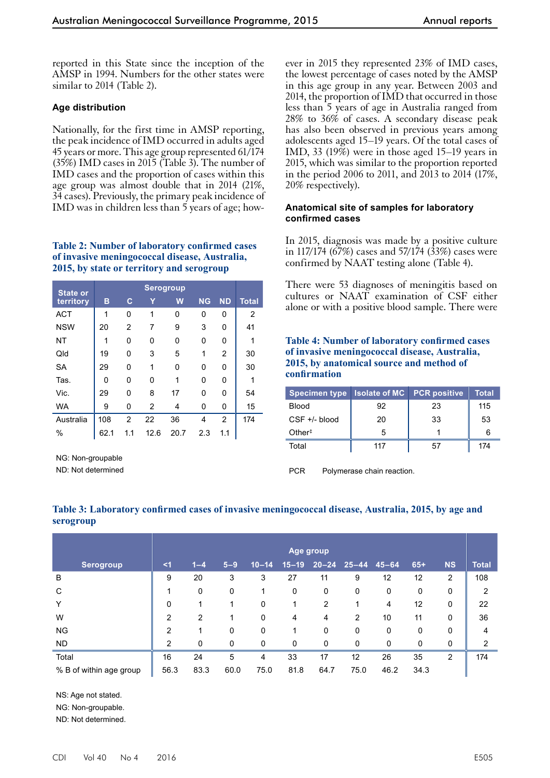reported in this State since the inception of the AMSP in 1994. Numbers for the other states were similar to 2014 (Table 2).

#### **Age distribution**

Nationally, for the first time in AMSP reporting, the peak incidence of IMD occurred in adults aged 45 years or more.This age group represented 61/174 (35%) IMD cases in 2015 (Table 3). The number of IMD cases and the proportion of cases within this age group was almost double that in 2014 (21%, 34 cases). Previously, the primary peak incidence of IMD was in children less than 5 years of age; how-

#### **Table 2: Number of laboratory confirmed cases of invasive meningococcal disease, Australia, 2015, by state or territory and serogroup**

| <b>State or</b> |      |                |      |      |           |                |              |
|-----------------|------|----------------|------|------|-----------|----------------|--------------|
| territory       | в    | C              |      | W    | <b>NG</b> | <b>ND</b>      | <b>Total</b> |
| <b>ACT</b>      | 1    | 0              | 1    | 0    | 0         | 0              | 2            |
| <b>NSW</b>      | 20   | $\overline{2}$ | 7    | 9    | 3         | 0              | 41           |
| NT              | 1    | 0              | 0    | 0    | 0         | 0              | 1            |
| Qld             | 19   | 0              | 3    | 5    | 1         | $\overline{2}$ | 30           |
| <b>SA</b>       | 29   | 0              | 1    | 0    | 0         | 0              | 30           |
| Tas.            | 0    | 0              | 0    | 1    | 0         | 0              | 1            |
| Vic.            | 29   | 0              | 8    | 17   | 0         | 0              | 54           |
| <b>WA</b>       | 9    | 0              | 2    | 4    | 0         | 0              | 15           |
| Australia       | 108  | $\overline{2}$ | 22   | 36   | 4         | $\overline{2}$ | 174          |
| $\%$            | 62.1 | 1.1            | 12.6 | 20.7 | 2.3       | 1.1            |              |

NG: Non-groupable

ND: Not determined

ever in 2015 they represented 23% of IMD cases, the lowest percentage of cases noted by the AMSP in this age group in any year. Between 2003 and 2014, the proportion of IMD that occurred in those less than 5 years of age in Australia ranged from 28% to 36% of cases. A secondary disease peak has also been observed in previous years among adolescents aged 15–19 years. Of the total cases of IMD, 33 (19%) were in those aged 15–19 years in 2015, which was similar to the proportion reported in the period 2006 to 2011, and 2013 to 2014 (17%, 20% respectively).

#### **Anatomical site of samples for laboratory confirmed cases**

In 2015, diagnosis was made by a positive culture in 117/174 (67%) cases and 57/174 (33%) cases were confirmed by NAAT testing alone (Table 4).

There were 53 diagnoses of meningitis based on cultures or NAAT examination of CSF either alone or with a positive blood sample. There were

#### **Table 4: Number of laboratory confirmed cases of invasive meningococcal disease, Australia, 2015, by anatomical source and method of confirmation**

| Specimen type   Isolate of MC   PCR positive |     |    | Total |
|----------------------------------------------|-----|----|-------|
| <b>Blood</b>                                 | 92  | 23 | 115   |
| $CSF +/- blood$                              | 20  | 33 | 53    |
| $Other+$                                     | 5   |    |       |
| Total                                        | 117 | 57 | 174   |

PCR Polymerase chain reaction.

|                         | Age group      |         |         |           |           |           |             |           |       |           |              |
|-------------------------|----------------|---------|---------|-----------|-----------|-----------|-------------|-----------|-------|-----------|--------------|
| <b>Serogroup</b>        | $\leq$ 1       | $1 - 4$ | $5 - 9$ | $10 - 14$ | $15 - 19$ | $20 - 24$ | $25 - 44$   | $45 - 64$ | $65+$ | <b>NS</b> | <b>Total</b> |
| B                       | 9              | 20      | 3       | 3         | 27        | 11        | 9           | 12        | 12    | 2         | 108          |
| C                       |                | 0       | 0       |           | 0         | 0         | $\mathbf 0$ | 0         | 0     | 0         | 2            |
| Υ                       | 0              | 1       | 1       | 0         |           | 2         | 1           | 4         | 12    | $\Omega$  | 22           |
| W                       | 2              | 2       | 1       | 0         | 4         | 4         | 2           | 10        | 11    | $\Omega$  | 36           |
| <b>NG</b>               | $\overline{2}$ |         | 0       | 0         |           | 0         | 0           | 0         | 0     | 0         | 4            |
| <b>ND</b>               | $\overline{2}$ | 0       | 0       | 0         | 0         | 0         | 0           | 0         | 0     | 0         | 2            |
| Total                   | 16             | 24      | 5       | 4         | 33        | 17        | 12          | 26        | 35    | 2         | 174          |
| % B of within age group | 56.3           | 83.3    | 60.0    | 75.0      | 81.8      | 64.7      | 75.0        | 46.2      | 34.3  |           |              |

#### **Table 3: Laboratory confirmed cases of invasive meningococcal disease, Australia, 2015, by age and serogroup**

NS: Age not stated.

NG: Non-groupable.

ND: Not determined.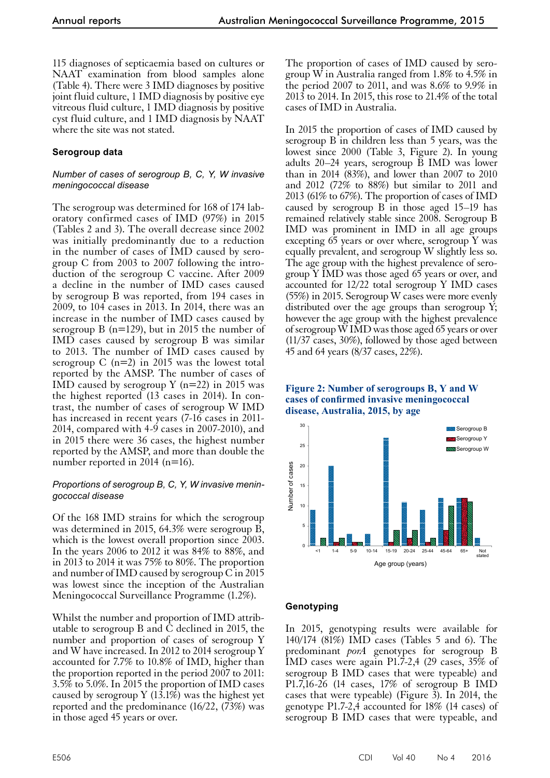115 diagnoses of septicaemia based on cultures or NAAT examination from blood samples alone (Table 4). There were 3 IMD diagnoses by positive joint fluid culture, 1 IMD diagnosis by positive eye vitreous fluid culture, 1 IMD diagnosis by positive cyst fluid culture, and 1 IMD diagnosis by NAAT where the site was not stated.

## **Serogroup data**

#### *Number of cases of serogroup B, C, Y, W invasive meningococcal disease*

The serogroup was determined for 168 of 174 laboratory confirmed cases of IMD (97%) in 2015 (Tables 2 and 3). The overall decrease since 2002 was initially predominantly due to a reduction in the number of cases of IMD caused by serogroup C from 2003 to 2007 following the introduction of the serogroup C vaccine. After 2009 a decline in the number of IMD cases caused by serogroup B was reported, from 194 cases in 2009, to 104 cases in 2013. In 2014, there was an increase in the number of IMD cases caused by serogroup B (n=129), but in 2015 the number of IMD cases caused by serogroup B was similar to 2013. The number of IMD cases caused by serogroup C  $(n=2)$  in 2015 was the lowest total reported by the AMSP. The number of cases of IMD caused by serogroup Y  $(n=22)$  in 2015 was the highest reported (13 cases in 2014). In contrast, the number of cases of serogroup W IMD has increased in recent years (7-16 cases in 2011- 2014, compared with  $4-9$  cases in 2007-2010), and in 2015 there were 36 cases, the highest number reported by the AMSP, and more than double the number reported in 2014 (n=16).

#### *Proportions of serogroup B, C, Y, W invasive meningococcal disease*

Of the 168 IMD strains for which the serogroup was determined in 2015, 64.3% were serogroup B, which is the lowest overall proportion since 2003. In the years 2006 to 2012 it was 84% to 88%, and in 2013 to 2014 it was 75% to 80%. The proportion and number of IMD caused by serogroup C in 2015 was lowest since the inception of the Australian Meningococcal Surveillance Programme (1.2%).

Whilst the number and proportion of IMD attrib- utable to serogroup B and C declined in 2015, the number and proportion of cases of serogroup Y and W have increased. In 2012 to 2014 serogroup Y accounted for 7.7% to 10.8% of IMD, higher than the proportion reported in the period 2007 to 2011: 3.5% to 5.0%. In 2015 the proportion of IMD cases caused by serogroup Y  $(13.1\%)$  was the highest yet reported and the predominance (16/22, (73%) was in those aged 45 years or over.

The proportion of cases of IMD caused by serogroup W in Australia ranged from 1.8% to 4.5% in the period 2007 to 2011, and was 8.6% to 9.9% in 2013 to 2014. In 2015, this rose to 21.4% of the total cases of IMD in Australia.

In 2015 the proportion of cases of IMD caused by serogroup B in children less than 5 years, was the lowest since 2000 (Table 3, Figure 2). In young adults 20–24 years, serogroup B IMD was lower than in 2014 (83%), and lower than 2007 to 2010 and 2012 (72% to 88%) but similar to 2011 and 2013 (61% to 67%). The proportion of cases of IMD caused by serogroup B in those aged 15–19 has remained relatively stable since 2008. Serogroup B IMD was prominent in IMD in all age groups excepting 65 years or over where, serogroup Y was equally prevalent, and serogroup W slightly less so. The age group with the highest prevalence of serogroup Y IMD was those aged 65 years or over, and accounted for 12/22 total serogroup Y IMD cases (55%) in 2015. Serogroup W cases were more evenly distributed over the age groups than serogroup Y; however the age group with the highest prevalence of serogroup W IMD was those aged 65 years or over (11/37 cases, 30%), followed by those aged between 45 and 64 years (8/37 cases, 22%).

#### **Figure 2: Number of serogroups B, Y and W cases of confirmed invasive meningococcal disease, Australia, 2015, by age**



## **Genotyping**

In 2015, genotyping results were available for 140/174 (81%) IMD cases (Tables 5 and 6). The predominant *porA* genotypes for serogroup B IMD cases were again P1.7-2,4 (29 cases,  $35\%$  of serogroup B IMD cases that were typeable) and P1.7,16-26 (14 cases, 17% of serogroup B IMD cases that were typeable) (Figure  $\overline{3}$ ). In 2014, the genotype P1.7-2,4 accounted for 18% (14 cases) of serogroup B IMD cases that were typeable, and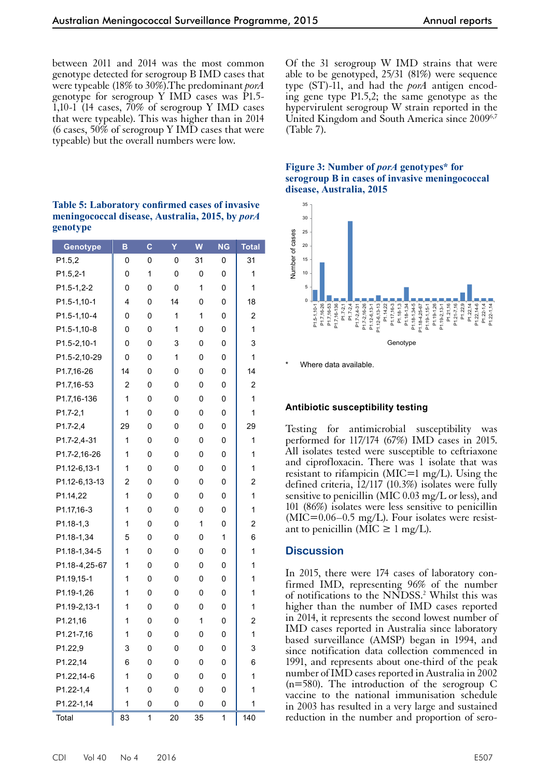between 2011 and 2014 was the most common genotype detected for serogroup B IMD cases that were typeable (18% to 30%).The predominant *porA* genotype for serogroup Y IMD cases was P1.5-  $1,10-1$  (14 cases,  $70\%$  of serogroup Y IMD cases that were typeable). This was higher than in 2014 (6 cases,  $50\%$  of serogroup Y IMD cases that were typeable) but the overall numbers were low.

| <b>Table 5: Laboratory confirmed cases of invasive</b> |
|--------------------------------------------------------|
| meningococcal disease, Australia, 2015, by <i>porA</i> |
| genotype                                               |

| Genotype      | B  | C | Y  | W  | <b>NG</b> | <b>Total</b>            |
|---------------|----|---|----|----|-----------|-------------------------|
| P1.5,2        | 0  | 0 | 0  | 31 | 0         | 31                      |
| $P1.5, 2-1$   | 0  | 1 | 0  | 0  | 0         | 1                       |
| $P1.5-1,2-2$  | 0  | 0 | 0  | 1  | 0         | 1                       |
| P1.5-1,10-1   | 4  | 0 | 14 | 0  | 0         | 18                      |
| P1.5-1,10-4   | 0  | 0 | 1  | 1  | 0         | 2                       |
| P1.5-1,10-8   | 0  | 0 | 1  | 0  | 0         | 1                       |
| P1.5-2,10-1   | 0  | 0 | 3  | 0  | 0         | 3                       |
| P1.5-2,10-29  | 0  | 0 | 1  | 0  | 0         | 1                       |
| P1.7,16-26    | 14 | 0 | 0  | 0  | 0         | 14                      |
| P1.7,16-53    | 2  | 0 | 0  | 0  | 0         | 2                       |
| P1.7,16-136   | 1  | 0 | 0  | 0  | 0         | 1                       |
| $P1.7 - 2.1$  | 1  | 0 | 0  | 0  | 0         | 1                       |
| P1.7-2,4      | 29 | 0 | 0  | 0  | 0         | 29                      |
| P1.7-2,4-31   | 1  | 0 | 0  | 0  | 0         | 1                       |
| P1.7-2,16-26  | 1  | 0 | 0  | 0  | 0         | 1                       |
| P1.12-6,13-1  | 1  | 0 | 0  | 0  | 0         | 1                       |
| P1.12-6,13-13 | 2  | 0 | 0  | 0  | 0         | 2                       |
| P1.14,22      | 1  | 0 | 0  | 0  | 0         | 1                       |
| P1.17,16-3    | 1  | 0 | 0  | 0  | 0         | 1                       |
| P1.18-1,3     | 1  | 0 | 0  | 1  | 0         | 2                       |
| P1.18-1.34    | 5  | 0 | 0  | 0  | 1         | 6                       |
| P1.18-1,34-5  | 1  | 0 | 0  | 0  | 0         | 1                       |
| P1.18-4,25-67 | 1  | 0 | 0  | 0  | 0         | 1                       |
| P1.19,15-1    | 1  | 0 | 0  | 0  | 0         | 1                       |
| P1.19-1.26    | 1  | 0 | 0  | 0  | 0         | 1                       |
| P1.19-2,13-1  | 1  | 0 | 0  | 0  | 0         | 1                       |
| P1.21,16      | 1  | 0 | 0  | 1  | 0         | $\overline{\mathbf{c}}$ |
| P1.21-7,16    | 1  | 0 | 0  | 0  | 0         | 1                       |
| P1.22,9       | 3  | 0 | 0  | 0  | 0         | 3                       |
| P1.22,14      | 6  | 0 | 0  | 0  | 0         | 6                       |
| P1.22,14-6    | 1  | 0 | 0  | 0  | 0         | 1                       |
| P1.22-1,4     | 1  | 0 | 0  | 0  | 0         | 1                       |
| P1.22-1,14    | 1  | 0 | 0  | 0  | 0         | 1                       |
| Total         | 83 | 1 | 20 | 35 | 1         | 140                     |

Of the 31 serogroup W IMD strains that were able to be genotyped, 25/31 (81%) were sequence type (ST)-11, and had the *porA* antigen encoding gene type P1.5,2; the same genotype as the hypervirulent serogroup W strain reported in the United Kingdom and South America since 20096,7 (Table 7).

#### **Figure 3: Number of** *porA* **genotypes\* for serogroup B in cases of invasive meningococcal disease, Australia, 2015**



Where data available.

## **Antibiotic susceptibility testing**

Testing for antimicrobial susceptibility was performed for 117/174 (67%) IMD cases in 2015. All isolates tested were susceptible to ceftriaxone and ciprofloxacin. There was 1 isolate that was resistant to rifampicin ( $MIC=1$  mg/L). Using the defined criteria, 12/117 (10.3%) isolates were fully sensitive to penicillin (MIC 0.03 mg/L or less), and 101 (86%) isolates were less sensitive to penicillin (MIC=0.06–0.5 mg/L). Four isolates were resistant to penicillin (MIC  $\geq 1$  mg/L).

## **Discussion**

In 2015, there were 174 cases of laboratory confirmed IMD, representing 96% of the number of notifications to the NNDSS.<sup>2</sup> Whilst this was higher than the number of IMD cases reported in 2014, it represents the second lowest number of IMD cases reported in Australia since laboratory based surveillance (AMSP) began in 1994, and since notification data collection commenced in 1991, and represents about one-third of the peak number of IMD cases reported in Australia in 2002 (n=580). The introduction of the serogroup C vaccine to the national immunisation schedule in 2003 has resulted in a very large and sustained reduction in the number and proportion of sero-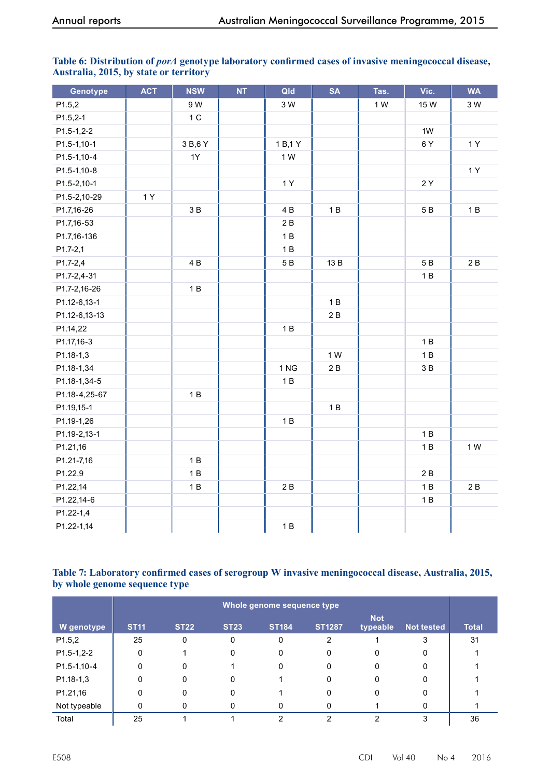| Genotype      | <b>ACT</b> | <b>NSW</b> | <b>NT</b> | Qld      | <b>SA</b> | Tas. | Vic.    | <b>WA</b> |
|---------------|------------|------------|-----------|----------|-----------|------|---------|-----------|
| P1.5,2        |            | 9 W        |           | 3 W      |           | 1 W  | 15 W    | 3 W       |
| $P1.5, 2-1$   |            | $1C$       |           |          |           |      |         |           |
| $P1.5-1,2-2$  |            |            |           |          |           |      | 1W      |           |
| P1.5-1,10-1   |            | 3 B, 6 Y   |           | 1 B, 1 Y |           |      | 6Y      | 1Y        |
| P1.5-1,10-4   |            | 1Y         |           | 1 W      |           |      |         |           |
| P1.5-1,10-8   |            |            |           |          |           |      |         | 1 Y       |
| P1.5-2,10-1   |            |            |           | 1Y       |           |      | 2Y      |           |
| P1.5-2,10-29  | 1Y         |            |           |          |           |      |         |           |
| P1.7,16-26    |            | 3B         |           | 4 B      | 1B        |      | 5 B     | 1B        |
| P1.7,16-53    |            |            |           | 2B       |           |      |         |           |
| P1.7,16-136   |            |            |           | 1B       |           |      |         |           |
| P1.7-2,1      |            |            |           | 1B       |           |      |         |           |
| P1.7-2,4      |            | 4B         |           | 5 B      | 13 B      |      | $5\,$ B | 2B        |
| P1.7-2,4-31   |            |            |           |          |           |      | 1B      |           |
| P1.7-2,16-26  |            | 1B         |           |          |           |      |         |           |
| P1.12-6,13-1  |            |            |           |          | 1B        |      |         |           |
| P1.12-6,13-13 |            |            |           |          | 2B        |      |         |           |
| P1.14,22      |            |            |           | 1B       |           |      |         |           |
| P1.17,16-3    |            |            |           |          |           |      | 1B      |           |
| P1.18-1,3     |            |            |           |          | 1 W       |      | 1B      |           |
| P1.18-1,34    |            |            |           | 1 NG     | 2B        |      | 3B      |           |
| P1.18-1,34-5  |            |            |           | 1B       |           |      |         |           |
| P1.18-4,25-67 |            | 1B         |           |          |           |      |         |           |
| P1.19,15-1    |            |            |           |          | 1B        |      |         |           |
| P1.19-1,26    |            |            |           | 1B       |           |      |         |           |
| P1.19-2,13-1  |            |            |           |          |           |      | 1B      |           |
| P1.21,16      |            |            |           |          |           |      | 1B      | 1 W       |
| P1.21-7,16    |            | 1B         |           |          |           |      |         |           |
| P1.22,9       |            | 1B         |           |          |           |      | 2B      |           |
| P1.22,14      |            | 1B         |           | 2B       |           |      | 1B      | 2B        |
| P1.22,14-6    |            |            |           |          |           |      | 1B      |           |
| P1.22-1,4     |            |            |           |          |           |      |         |           |
| P1.22-1,14    |            |            |           | 1B       |           |      |         |           |

## Table 6: Distribution of *porA* genotype laboratory confirmed cases of invasive meningococcal disease, **Australia, 2015, by state or territory**

#### **Table 7: Laboratory confirmed cases of serogroup W invasive meningococcal disease, Australia, 2015, by whole genome sequence type**

|              | Whole genome sequence type |             |             |              |               |                        |                   |              |  |  |  |
|--------------|----------------------------|-------------|-------------|--------------|---------------|------------------------|-------------------|--------------|--|--|--|
| W genotype   | <b>ST11</b>                | <b>ST22</b> | <b>ST23</b> | <b>ST184</b> | <b>ST1287</b> | <b>Not</b><br>typeable | <b>Not tested</b> | <b>Total</b> |  |  |  |
| P1.5,2       | 25                         | 0           | 0           | 0            | 2             |                        | 3                 | 31           |  |  |  |
| $P1.5-1,2-2$ | 0                          |             | 0           | 0            | 0             | 0                      | 0                 |              |  |  |  |
| P1.5-1,10-4  | 0                          | 0           |             | 0            | 0             | 0                      | 0                 |              |  |  |  |
| $P1.18-1,3$  | 0                          | 0           | 0           |              | 0             | 0                      | 0                 |              |  |  |  |
| P1.21,16     | 0                          | 0           | 0           |              | 0             | 0                      | 0                 |              |  |  |  |
| Not typeable | 0                          | 0           | 0           |              | U             |                        | O                 |              |  |  |  |
| Total        | 25                         |             |             | ົ            | າ             | ົ                      | 3                 | 36           |  |  |  |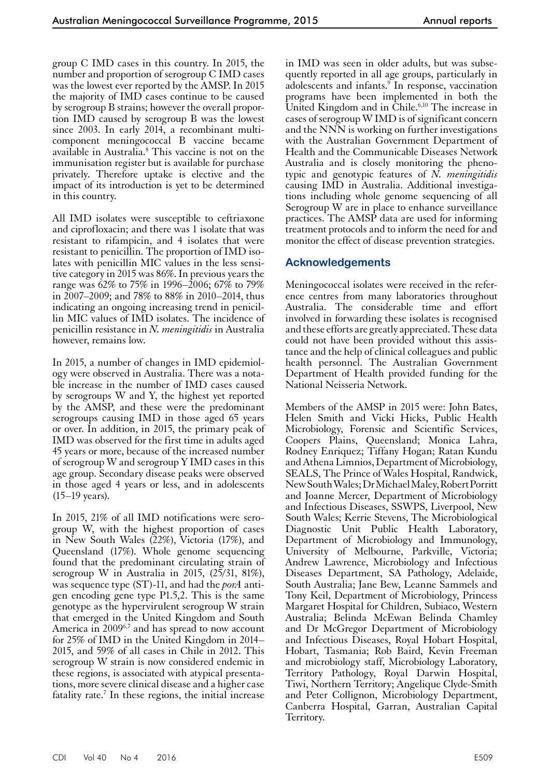group C IMD cases in this country. In 2015, the number and proportion of serogroup C IMD cases was the lowest ever reported by the AMSP. In 2015 the majority of IMD cases continue to be caused by serogroup B strains; however the overall proportion IMD caused by serogroup B was the lowest since 2003. In early 2014, a recombinant multicomponent meningococcal B vaccine became available in Australia.8 This vaccine is not on the immunisation register but is available for purchase privately. Therefore uptake is elective and the impact of its introduction is yet to be determined in this country.

All IMD isolates were susceptible to ceftriaxone and ciprofloxacin; and there was 1 isolate that was resistant to rifampicin, and 4 isolates that were resistant to penicillin. The proportion of IMD isolates with penicillin MIC values in the less sensitive category in 2015 was 86%. In previous years the range was 62% to 75% in 1996–2006; 67% to 79% in 2007–2009; and 78% to 88% in 2010–2014, thus indicating an ongoing increasing trend in penicillin MIC values of IMD isolates. The incidence of penicillin resistance in *N. meningitidis* in Australia however, remains low.

In 2015, a number of changes in IMD epidemiology were observed in Australia. There was a notable increase in the number of IMD cases caused by serogroups W and Y, the highest yet reported by the AMSP, and these were the predominant serogroups causing IMD in those aged 65 years or over. In addition, in 2015, the primary peak of IMD was observed for the first time in adults aged 45 years or more, because of the increased number of serogroup W and serogroup Y IMD cases in this age group. Secondary disease peaks were observed in those aged 4 years or less, and in adolescents (15–19 years).

In 2015, 21% of all IMD notifications were sero- group W, with the highest proportion of cases in New South Wales (22%), Victoria (17%), and Queensland (17%). Whole genome sequencing found that the predominant circulating strain of serogroup W in Australia in 2015, (25/31, 81%), was sequence type (ST)-11, and had the *porA* antigen encoding gene type P1.5,2. This is the same genotype as the hypervirulent serogroup W strain that emerged in the United Kingdom and South America in 2009<sup>6,7</sup> and has spread to now account for 25% of IMD in the United Kingdom in 2014– 2015, and 59% of all cases in Chile in 2012. This serogroup W strain is now considered endemic in these regions, is associated with atypical presentations, more severe clinical disease and a higher case fatality rate.<sup>7</sup> In these regions, the initial increase in IMD was seen in older adults, but was subsequently reported in all age groups, particularly in adolescents and infants.<sup>9</sup> In response, vaccination programs have been implemented in both the United Kingdom and in Chile. $6,10$  The increase in cases of serogroup W IMD is of significant concern and the NNN is working on further investigations with the Australian Government Department of Health and the Communicable Diseases Network Australia and is closely monitoring the phenotypic and genotypic features of *N. meningitidis*  causing IMD in Australia. Additional investigations including whole genome sequencing of all Serogroup W are in place to enhance surveillance practices. The AMSP data are used for informing treatment protocols and to inform the need for and monitor the effect of disease prevention strategies.

# **Acknowledgements**

Meningococcal isolates were received in the reference centres from many laboratories throughout Australia. The considerable time and effort involved in forwarding these isolates is recognised and these efforts are greatly appreciated. These data could not have been provided without this assistance and the help of clinical colleagues and public health personnel. The Australian Government Department of Health provided funding for the National Neisseria Network.

Members of the AMSP in 2015 were: John Bates, Helen Smith and Vicki Hicks, Public Health Microbiology, Forensic and Scientific Services, Coopers Plains, Queensland; Monica Lahra, Rodney Enriquez; Tiffany Hogan; Ratan Kundu andAthena Limnios, Department of Microbiology, SEALS, The Prince of Wales Hospital, Randwick, New South Wales; Dr Michael Maley, Robert Porritt and Joanne Mercer, Department of Microbiology and Infectious Diseases, SSWPS, Liverpool, New South Wales; Kerrie Stevens, The Microbiological Diagnostic Unit Public Health Laboratory, Department of Microbiology and Immunology, University of Melbourne, Parkville, Victoria; Andrew Lawrence, Microbiology and Infectious Diseases Department, SA Pathology, Adelaide, South Australia; Jane Bew, Leanne Sammels and Tony Keil, Department of Microbiology, Princess Margaret Hospital for Children, Subiaco, Western Australia; Belinda McEwan Belinda Chamley and Dr McGregor Department of Microbiology and Infectious Diseases, Royal Hobart Hospital, Hobart, Tasmania; Rob Baird, Kevin Freeman and microbiology staff, Microbiology Laboratory, Territory Pathology, Royal Darwin Hospital, Tiwi, Northern Territory; Angelique Clyde-Smith and Peter Collignon, Microbiology Department, Canberra Hospital, Garran, Australian Capital Territory.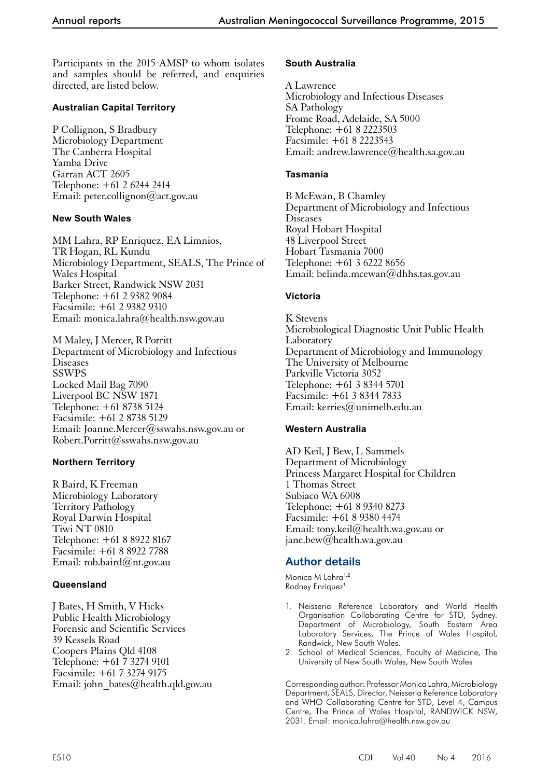Participants in the 2015 AMSP to whom isolates and samples should be referred, and enquiries directed, are listed below.

## **Australian Capital Territory**

P Collignon, S Bradbury Microbiology Department The Canberra Hospital Yamba Drive Garran ACT 2605 Telephone: +61 2 6244 2414 Email: peter.collignon@act.gov.au

## **New South Wales**

MM Lahra, RP Enriquez, EA Limnios, TR Hogan, RL Kundu Microbiology Department, SEALS, The Prince of Wales Hospital Barker Street, Randwick NSW 2031 Telephone: +61 2 9382 9084 Facsimile: +61 2 9382 9310 Email: monica.lahra@health.nsw.gov.au

M Maley, J Mercer, R Porritt Department of Microbiology and Infectious Diseases SSWPS Locked Mail Bag 7090 Liverpool BC NSW 1871 Telephone: +61 8738 5124 Facsimile: +61 2 8738 5129 Email: Joanne.Mercer@sswahs.nsw.gov.au or Robert.Porritt@sswahs.nsw.gov.au

# **Northern Territory**

R Baird, K Freeman Microbiology Laboratory Territory Pathology Royal Darwin Hospital Tiwi NT 0810 Telephone: +61 8 8922 8167 Facsimile: +61 8 8922 7788 Email: rob.baird@nt.gov.au

# **Queensland**

J Bates, H Smith, V Hicks Public Health Microbiology Forensic and Scientific Services 39 Kessels Road Coopers Plains Qld 4108 Telephone: +61 7 3274 9101 Facsimile: +61 7 3274 9175 Email: john\_bates@health.qld.gov.au

## **South Australia**

A Lawrence Microbiology and Infectious Diseases SA Pathology Frome Road, Adelaide, SA 5000 Telephone: +61 8 2223503 Facsimile: +61 8 2223543 Email: andrew.lawrence@health.sa.gov.au

#### **Tasmania**

B McEwan, B Chamley Department of Microbiology and Infectious **Diseases** Royal Hobart Hospital 48 Liverpool Street Hobart Tasmania 7000 Telephone: +61 3 6222 8656 Email: belinda.mcewan@dhhs.tas.gov.au

## **Victoria**

K Stevens Microbiological Diagnostic Unit Public Health Laboratory Department of Microbiology and Immunology The University of Melbourne Parkville Victoria 3052 Telephone: +61 3 8344 5701 Facsimile: +61 3 8344 7833 Email: kerries@unimelb.edu.au

# **Western Australia**

AD Keil, J Bew, L Sammels Department of Microbiology Princess Margaret Hospital for Children 1 Thomas Street Subiaco WA 6008 Telephone: +61 8 9340 8273 Facsimile: +61 8 9380 4474 Email: tony.keil@health.wa.gov.au or jane.bew@health.wa.gov.au

# **Author details**

Monica M Lahra<sup>1,2</sup> Rodney Enriquez<sup>1</sup>

- 1. Neisseria Reference Laboratory and World Health Organisation Collaborating Centre for STD, Sydney. Department of Microbiology, South Eastern Area Laboratory Services, The Prince of Wales Hospital, Randwick, New South Wales.
- 2. School of Medical Sciences, Faculty of Medicine, The University of New South Wales, New South Wales

Corresponding author: Professor Monica Lahra, Microbiology Department, SEALS, Director, Neisseria Reference Laboratory and WHO Collaborating Centre for STD, Level 4, Campus Centre, The Prince of Wales Hospital, RANDWICK NSW, 2031. Email: monica.lahra@health.nsw.gov.au